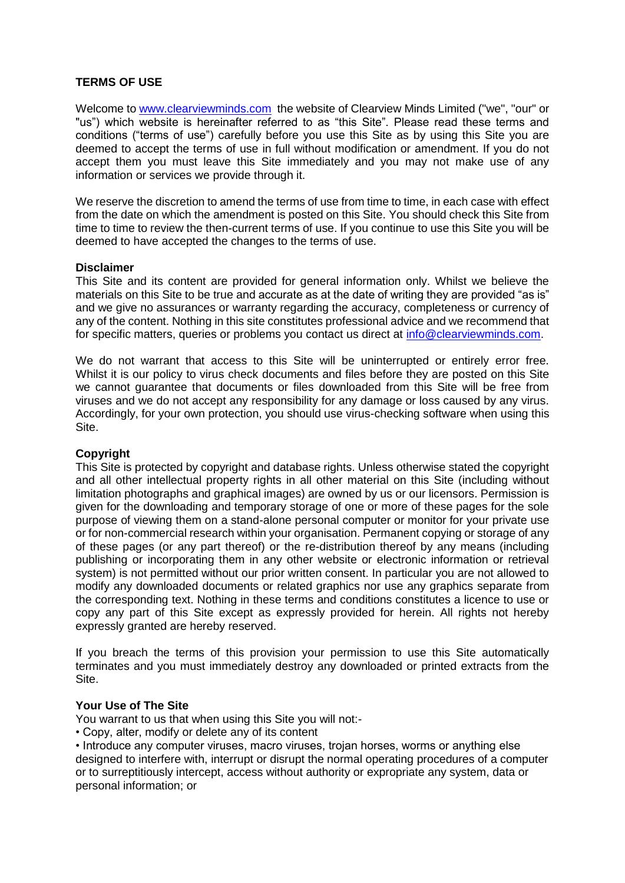# **TERMS OF USE**

Welcome to [www.clearviewminds.com](http://www.clearviewminds.com/) the website of Clearview Minds Limited ("we", "our" or "us") which website is hereinafter referred to as "this Site". Please read these terms and conditions ("terms of use") carefully before you use this Site as by using this Site you are deemed to accept the terms of use in full without modification or amendment. If you do not accept them you must leave this Site immediately and you may not make use of any information or services we provide through it.

We reserve the discretion to amend the terms of use from time to time, in each case with effect from the date on which the amendment is posted on this Site. You should check this Site from time to time to review the then-current terms of use. If you continue to use this Site you will be deemed to have accepted the changes to the terms of use.

## **Disclaimer**

This Site and its content are provided for general information only. Whilst we believe the materials on this Site to be true and accurate as at the date of writing they are provided "as is" and we give no assurances or warranty regarding the accuracy, completeness or currency of any of the content. Nothing in this site constitutes professional advice and we recommend that for specific matters, queries or problems you contact us direct at [info@clearviewminds.com.](mailto:info@clearviewminds.com)

We do not warrant that access to this Site will be uninterrupted or entirely error free. Whilst it is our policy to virus check documents and files before they are posted on this Site we cannot guarantee that documents or files downloaded from this Site will be free from viruses and we do not accept any responsibility for any damage or loss caused by any virus. Accordingly, for your own protection, you should use virus-checking software when using this Site.

## **Copyright**

This Site is protected by copyright and database rights. Unless otherwise stated the copyright and all other intellectual property rights in all other material on this Site (including without limitation photographs and graphical images) are owned by us or our licensors. Permission is given for the downloading and temporary storage of one or more of these pages for the sole purpose of viewing them on a stand-alone personal computer or monitor for your private use or for non-commercial research within your organisation. Permanent copying or storage of any of these pages (or any part thereof) or the re-distribution thereof by any means (including publishing or incorporating them in any other website or electronic information or retrieval system) is not permitted without our prior written consent. In particular you are not allowed to modify any downloaded documents or related graphics nor use any graphics separate from the corresponding text. Nothing in these terms and conditions constitutes a licence to use or copy any part of this Site except as expressly provided for herein. All rights not hereby expressly granted are hereby reserved.

If you breach the terms of this provision your permission to use this Site automatically terminates and you must immediately destroy any downloaded or printed extracts from the Site.

# **Your Use of The Site**

You warrant to us that when using this Site you will not:-

• Copy, alter, modify or delete any of its content

• Introduce any computer viruses, macro viruses, trojan horses, worms or anything else designed to interfere with, interrupt or disrupt the normal operating procedures of a computer or to surreptitiously intercept, access without authority or expropriate any system, data or personal information; or